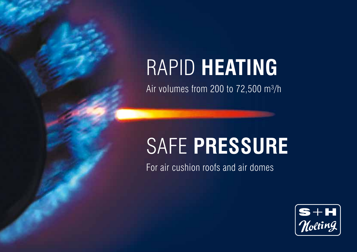# RAPID **HEATING**

Air volumes from 200 to 72,500 m<sup>3</sup>/h

# safe **Pressure**

For air cushion roofs and air domes

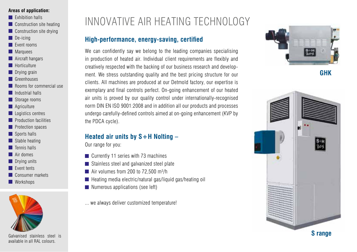#### **Areas of application:**

- **Exhibition halls**
- **Construction site heating**
- **Construction site drying**
- $\Box$  De-icing
- **Exent rooms**
- **Marquees**
- **Aircraft hangars**
- **Horticulture**
- **Drying grain**
- **Greenhouses**
- **Rooms for commercial use**
- **I** Industrial halls
- Storage rooms
- **Agriculture**
- **Logistics centres**
- **Production facilities**
- **Protection spaces**
- Sports halls
- Stable heating
- $\blacksquare$  Tennis halls
- **Air domes**
- **Drying units**
- **Event tents**
- Consumer markets
- **Workshops**



Galvanised stainless steel is available in all RAL colours.

## INNOVATIVE AIR HEATING TECHNOLOGY

### **High-performance, energy-saving, certified**

We can confidently say we belong to the leading companies specialising in production of heated air. Individual client requirements are flexibly and creatively respected with the backing of our business research and development. We stress outstanding quality and the best pricing structure for our clients. All machines are produced at our Detmold factory, our expertise is exemplary and final controls perfect. On-going enhancement of our heated air units is proved by our quality control under internationally-recognised norm DIN EN ISO 9001:2008 and in addition all our products and processes undergo carefully-defined controls aimed at on-going enhancement (KVP by the PDCA cycle).

### **Heated air units by S+H Nolting –**

Our range for you:

- **Currently 11 series with 73 machines**
- Stainless steel and galvanized steel plate
- $\blacksquare$  Air volumes from 200 to 72,500 m<sup>3</sup>/h
- $\blacksquare$  Heating media electric/natural gas/liquid gas/heating oil
- Numerous applications (see left)
- ... we always deliver customized temperature!





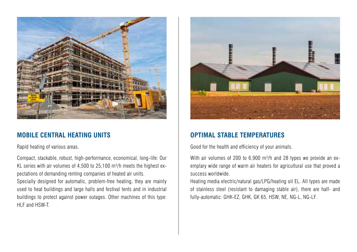

### **MOBILE CENTRAL HEATING UNITS**

Rapid heating of various areas.

Compact, stackable, robust, high-performance, economical, long-life: Our KL series with air volumes of 4,500 to 25,100 m<sup>3</sup>/h meets the highest expectations of demanding renting companies of heated air units.

Specially designed for automatic, problem-free heating, they are mainly used to heat buildings and large halls and festival tents and in industrial buildings to protect against power outages. Other machines of this type: HLF and HSW-T.



### **OPTIMAL STABLE TEMPERATURES**

Good for the health and efficiency of your animals.

With air volumes of 200 to  $6,900$  m<sup>3</sup>/h and 28 types we provide an exemplary wide range of warm air heaters for agricultural use that proved a success worldwide.

Heating media electric/natural gas/LPG/heating oil EL. All types are made of stainless steel (resistant to damaging stable air), there are half- and fully-automatic: GHK-EZ, GHK, GK 65, HSW, NE, NG-L, NG-LF.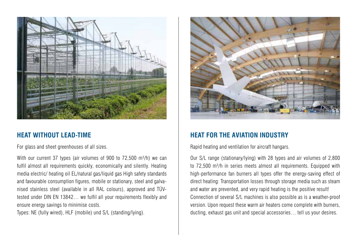

### **HEAT WITHOUT LEAD-TIME**

For glass and sheet greenhouses of all sizes.

With our current 37 types (air volumes of 900 to  $72,500$  m $\frac{3}{h}$ ) we can fulfil almost all requirements quickly, economically and silently. Heating media electric/ heating oil EL/natural gas/liquid gas High safety standards and favourable consumption figures, mobile or stationary, steel and galvanised stainless steel (available in all RAL colours), approved and TÜVtested under DIN EN 13842… we fulfil all your requirements flexibly and ensure energy savings to minimise costs.

Types: NE (fully wired), HLF (mobile) und S/L (standing/lying).



### **HEAT FOR THE AVIATION INDUSTRY**

Rapid heating and ventilation for aircraft hangars.

Our S/L range (stationary/lying) with 28 types and air volumes of 2,800 to  $72,500$  m<sup>3</sup>/h in series meets almost all requirements. Equipped with high-performance fan burners all types offer the energy-saving effect of direct heating: Transportation losses through storage media such as steam and water are prevented, and very rapid heating is the positive result! Connection of several S/L machines is also possible as is a weather-proof version. Upon request these warm air heaters come complete with burners, ducting, exhaust gas unit and special accessories… tell us your desires.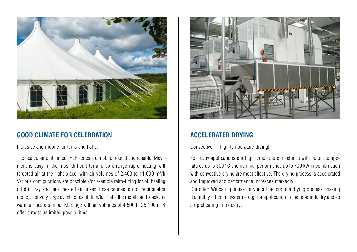

### **GOOD CLIMATE FOR CELEBRATION**

Inclusive and mobile for tents and halls.

The heated air units in our HLF series are mobile, robust and reliable. Movement is easy in the most difficult terrain, so arrange rapid heating with targeted air at the right place: with air volumes of 2,400 to 11,000  $m^3/h!$ Various configurations are possible (for example retro-fitting for oil heating, oil drip tray and tank, heated air hoses, hose connection for recirculation mode). For very large events or exhibition/fair halls the mobile and stackable warm air heaters in our KL range with air volumes of 4,500 to 25,100 m<sup>3</sup>/h offer almost unlimited possibilities.



### **ACCELERATED DRYING**

Convective  $+$  high temperature drying!

For many applications our high temperature machines with output temperatures up to 300 °C and nominal performance up to 700 kW in combination with convective drying are most effective: The drying process is accelerated and improved and performance increases markedly.

Our offer: We can optimise for you all factors of a drying process, making it a highly efficient system – e.g. for application in the food industry and as air preheating in industry.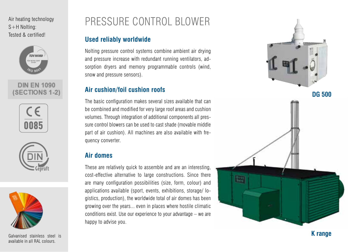Air heating technology S+H Nolting: Tested & certified!



### **DIN EN 1090 SECTIONS 1**







Galvanised stainless steel is available in all RAL colours.

## PRESSUR E CONTROL BLOW E R

### **Used reliably worldwide**

Nolting pressure control systems combine ambient air drying and pressure increase with redundant running ventilators, ad sorption dryers and memory programmable controls (wind, snow and pressure sensors).

### **Air cushion/foil cushion roofs**

The basic configuration makes several sizes available that can be combined and modified for very large roof areas and cushion volumes. Through integration of additional components all pres sure control blowers can be used to cast shade (movable middle part of air cushion). All machines are also available with fre quency converter.

### **Air domes**

These are relatively quick to assemble and are an interesting, cost-effective alternative to large constructions. Since there are many configuration possibilities (size, form, colour) and applications available (sport, events, exhibitions, storage/ lo gistics, production), the worldwide total of air domes has been growing over the years... even in places where hostile climatic conditions exist. Use our experience to your advantage – we are happy to advise you.



**K range**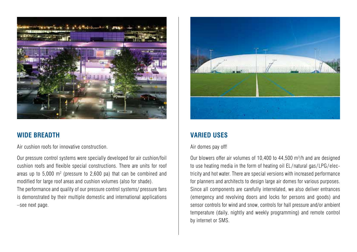

### **WIDE BREADTH**

Air cushion roofs for innovative construction.

Our pressure control systems were specially developed for air cushion/foil cushion roofs and flexible special constructions. There are units for roof areas up to  $5,000$  m<sup>2</sup> (pressure to  $2,600$  pa) that can be combined and modified for large roof areas and cushion volumes (also for shade). The performance and quality of our pressure control systems/ pressure fans is demonstrated by their multiple domestic and international applications –see next page.



### **VARIED USES**

#### Air domes pay off!

Our blowers offer air volumes of 10,400 to 44,500 m<sup>3</sup>/h and are designed to use heating media in the form of heating oil EL/natural gas/LPG/electricity and hot water. There are special versions with increased performance for planners and architects to design large air domes for various purposes. Since all components are carefully interrelated, we also deliver entrances (emergency and revolving doors and locks for persons and goods) and sensor controls for wind and snow, controls for hall pressure and/or ambient temperature (daily, nightly and weekly programming) and remote control by internet or SMS.